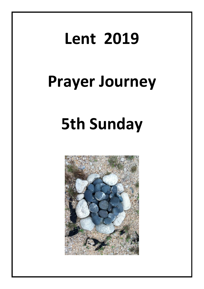# **Lent 2019**

## **Prayer Journey**

# **5th Sunday**

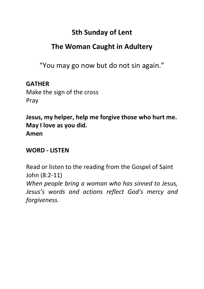### **5th Sunday of Lent**

### **The Woman Caught in Adultery**

"You may go now but do not sin again."

#### **GATHER**

Make the sign of the cross Pray

**Jesus, my helper, help me forgive those who hurt me. May I love as you did. Amen**

#### **WORD - LISTEN**

Read or listen to the reading from the Gospel of Saint John (8:2-11) *When people bring a woman who has sinned to Jesus, Jesus's words and actions reflect God's mercy and forgiveness.*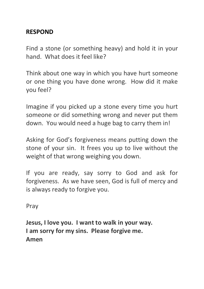#### **RESPOND**

Find a stone (or something heavy) and hold it in your hand. What does it feel like?

Think about one way in which you have hurt someone or one thing you have done wrong. How did it make you feel?

Imagine if you picked up a stone every time you hurt someone or did something wrong and never put them down. You would need a huge bag to carry them in!

Asking for God's forgiveness means putting down the stone of your sin. It frees you up to live without the weight of that wrong weighing you down.

If you are ready, say sorry to God and ask for forgiveness. As we have seen, God is full of mercy and is always ready to forgive you.

Pray

**Jesus, I love you. I want to walk in your way. I am sorry for my sins. Please forgive me. Amen**